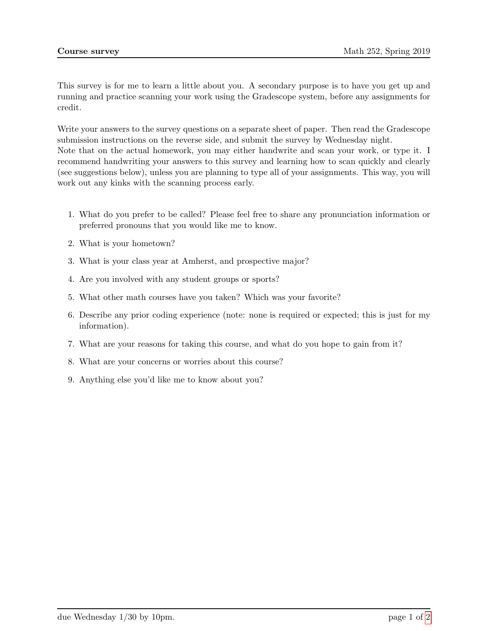This survey is for me to learn a little about you. A secondary purpose is to have you get up and running and practice scanning your work using the Gradescope system, before any assignments for credit.

Write your answers to the survey questions on a separate sheet of paper. Then read the Gradescope submission instructions on the reverse side, and submit the survey by Wednesday night. Note that on the actual homework, you may either handwrite and scan your work, or type it. I recommend handwriting your answers to this survey and learning how to scan quickly and clearly (see suggestions below), unless you are planning to type all of your assignments. This way, you will work out any kinks with the scanning process early.

- 1. What do you prefer to be called? Please feel free to share any pronunciation information or preferred pronouns that you would like me to know.
- 2. What is your hometown?
- 3. What is your class year at Amherst, and prospective major?
- 4. Are you involved with any student groups or sports?
- 5. What other math courses have you taken? Which was your favorite?
- 6. Describe any prior coding experience (note: none is required or expected; this is just for my information).
- 7. What are your reasons for taking this course, and what do you hope to gain from it?
- 8. What are your concerns or worries about this course?
- 9. Anything else you'd like me to know about you?